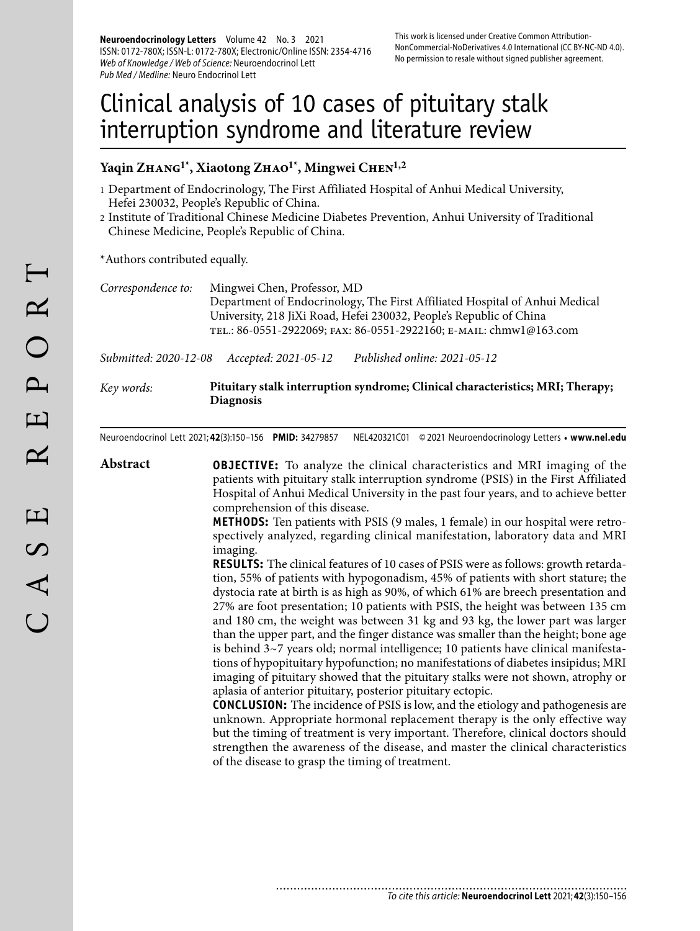**Neuroendocrinology Letters** Volume 42 No. 3 2021 ISSN: 0172-780X; ISSN-L: 0172-780X; Electronic/Online ISSN: 2354-4716 Web of Knowledge / Web of Science: Neuroendocrinol Lett Pub Med / Medline: Neuro Endocrinol Lett

# Clinical analysis of 10 cases of pituitary stalk interruption syndrome and literature review

#### Yaqin ZHANG<sup>1\*</sup>, Xiaotong ZHAO<sup>1\*</sup>, Mingwei CHEN<sup>1,2</sup>

- 1 Department of Endocrinology, The First Affiliated Hospital of Anhui Medical University, Hefei 230032, People's Republic of China.
- 2 Institute of Traditional Chinese Medicine Diabetes Prevention, Anhui University of Traditional Chinese Medicine, People's Republic of China.

\*Authors contributed equally.

*Correspondence to:* Mingwei Chen, Professor, MD Department of Endocrinology, The First Affiliated Hospital of Anhui Medical University, 218 JiXi Road, Hefei 230032, People's Republic of China tel.: 86-0551-2922069; fax: 86-0551-2922160; e-mail: chmw1@163.com

*Submitted: 2020-12-08 Accepted: 2021-05-12 Published online: 2021-05-12*

*Key words:* **Pituitary stalk interruption syndrome; Clinical characteristics; MRI; Therapy; Diagnosis** 

Neuroendocrinol Lett 2021; **42**(3):150–156 **PMID:** 34279857 NEL420321C01 © 2021 Neuroendocrinology Letters • **www.nel.edu**

**Abstract OBJECTIVE:** To analyze the clinical characteristics and MRI imaging of the patients with pituitary stalk interruption syndrome (PSIS) in the First Affiliated Hospital of Anhui Medical University in the past four years, and to achieve better comprehension of this disease.

............................

**METHODS:** Ten patients with PSIS (9 males, 1 female) in our hospital were retrospectively analyzed, regarding clinical manifestation, laboratory data and MRI imaging.

**RESULTS:** The clinical features of 10 cases of PSIS were as follows: growth retardation, 55% of patients with hypogonadism, 45% of patients with short stature; the dystocia rate at birth is as high as 90%, of which 61% are breech presentation and 27% are foot presentation; 10 patients with PSIS, the height was between 135 cm and 180 cm, the weight was between 31 kg and 93 kg, the lower part was larger than the upper part, and the finger distance was smaller than the height; bone age is behind  $3~7$  years old; normal intelligence; 10 patients have clinical manifestations of hypopituitary hypofunction; no manifestations of diabetes insipidus; MRI imaging of pituitary showed that the pituitary stalks were not shown, atrophy or aplasia of anterior pituitary, posterior pituitary ectopic.

**CONCLUSION:** The incidence of PSIS is low, and the etiology and pathogenesis are unknown. Appropriate hormonal replacement therapy is the only effective way but the timing of treatment is very important. Therefore, clinical doctors should strengthen the awareness of the disease, and master the clinical characteristics of the disease to grasp the timing of treatment.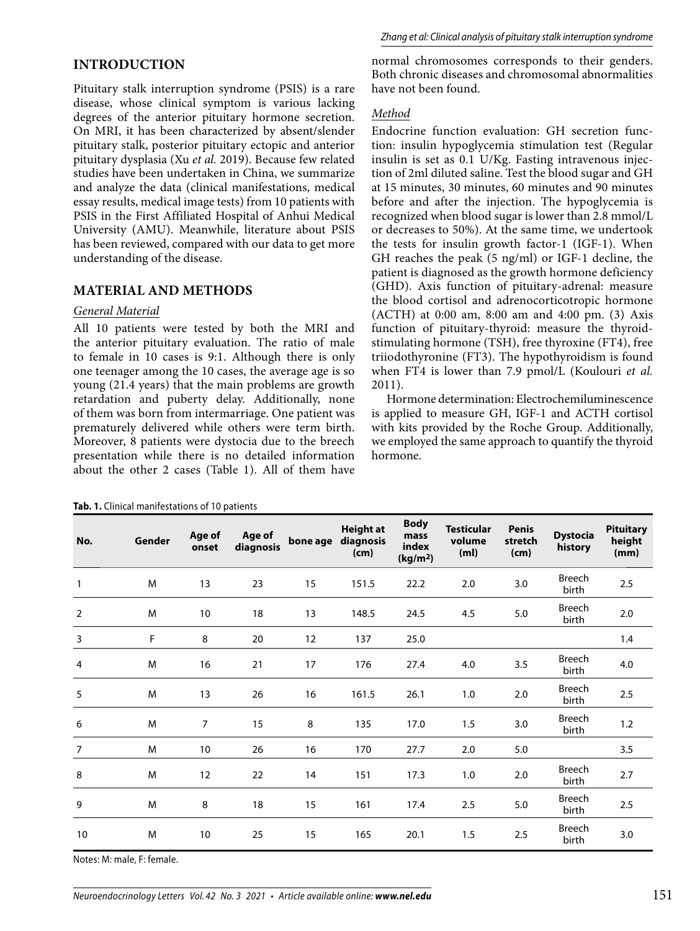# **INTRODUCTION**

Pituitary stalk interruption syndrome (PSIS) is a rare disease, whose clinical symptom is various lacking degrees of the anterior pituitary hormone secretion. On MRI, it has been characterized by absent/slender pituitary stalk, posterior pituitary ectopic and anterior pituitary dysplasia (Xu *et al.* 2019). Because few related studies have been undertaken in China, we summarize and analyze the data (clinical manifestations, medical essay results, medical image tests) from 10 patients with PSIS in the First Affiliated Hospital of Anhui Medical University (AMU). Meanwhile, literature about PSIS has been reviewed, compared with our data to get more understanding of the disease.

## **MATERIAL AND METHODS**

#### *General Material*

All 10 patients were tested by both the MRI and the anterior pituitary evaluation. The ratio of male to female in 10 cases is 9:1. Although there is only one teenager among the 10 cases, the average age is so young (21.4 years) that the main problems are growth retardation and puberty delay. Additionally, none of them was born from intermarriage. One patient was prematurely delivered while others were term birth. Moreover, 8 patients were dystocia due to the breech presentation while there is no detailed information about the other 2 cases (Table 1). All of them have normal chromosomes corresponds to their genders. Both chronic diseases and chromosomal abnormalities have not been found.

#### *Method*

Endocrine function evaluation: GH secretion function: insulin hypoglycemia stimulation test (Regular insulin is set as 0.1 U/Kg. Fasting intravenous injection of 2ml diluted saline. Test the blood sugar and GH at 15 minutes, 30 minutes, 60 minutes and 90 minutes before and after the injection. The hypoglycemia is recognized when blood sugar is lower than 2.8 mmol/L or decreases to 50%). At the same time, we undertook the tests for insulin growth factor-1 (IGF-1). When GH reaches the peak (5 ng/ml) or IGF-1 decline, the patient is diagnosed as the growth hormone deficiency (GHD). Axis function of pituitary-adrenal: measure the blood cortisol and adrenocorticotropic hormone (ACTH) at 0:00 am, 8:00 am and 4:00 pm. (3) Axis function of pituitary-thyroid: measure the thyroidstimulating hormone (TSH), free thyroxine (FT4), free triiodothyronine (FT3). The hypothyroidism is found when FT4 is lower than 7.9 pmol/L (Koulouri *et al.* 2011).

Hormone determination: Electrochemiluminescence is applied to measure GH, IGF-1 and ACTH cortisol with kits provided by the Roche Group. Additionally, we employed the same approach to quantify the thyroid hormone.

| No.            | Gender | Age of<br>onset | Age of<br>diagnosis | bone age | <b>Height at</b><br>diagnosis<br>(cm) | <b>Body</b><br>mass<br>index<br>(kg/m <sup>2</sup> ) | <b>Testicular</b><br>volume<br>(m <sub>l</sub> ) | <b>Penis</b><br>stretch<br>(cm) | <b>Dystocia</b><br>history | <b>Pituitary</b><br>height<br>(mm) |
|----------------|--------|-----------------|---------------------|----------|---------------------------------------|------------------------------------------------------|--------------------------------------------------|---------------------------------|----------------------------|------------------------------------|
| 1              | M      | 13              | 23                  | 15       | 151.5                                 | 22.2                                                 | 2.0                                              | 3.0                             | <b>Breech</b><br>birth     | 2.5                                |
| $\overline{2}$ | M      | 10              | 18                  | 13       | 148.5                                 | 24.5                                                 | 4.5                                              | 5.0                             | Breech<br>birth            | 2.0                                |
| 3              | F      | 8               | 20                  | 12       | 137                                   | 25.0                                                 |                                                  |                                 |                            | 1.4                                |
| $\overline{4}$ | M      | 16              | 21                  | 17       | 176                                   | 27.4                                                 | 4.0                                              | 3.5                             | Breech<br>birth            | 4.0                                |
| 5              | M      | 13              | 26                  | 16       | 161.5                                 | 26.1                                                 | 1.0                                              | 2.0                             | <b>Breech</b><br>birth     | 2.5                                |
| 6              | M      | $\overline{7}$  | 15                  | 8        | 135                                   | 17.0                                                 | 1.5                                              | 3.0                             | <b>Breech</b><br>birth     | 1.2                                |
| $\overline{7}$ | M      | 10              | 26                  | 16       | 170                                   | 27.7                                                 | 2.0                                              | 5.0                             |                            | 3.5                                |
| 8              | M      | 12              | 22                  | 14       | 151                                   | 17.3                                                 | 1.0                                              | 2.0                             | <b>Breech</b><br>birth     | 2.7                                |
| 9              | M      | 8               | 18                  | 15       | 161                                   | 17.4                                                 | 2.5                                              | 5.0                             | <b>Breech</b><br>birth     | 2.5                                |
| 10             | M      | 10              | 25                  | 15       | 165                                   | 20.1                                                 | 1.5                                              | 2.5                             | <b>Breech</b><br>birth     | 3.0                                |

**Tab. 1.** Clinical manifestations of 10 patients

Notes: M: male, F: female.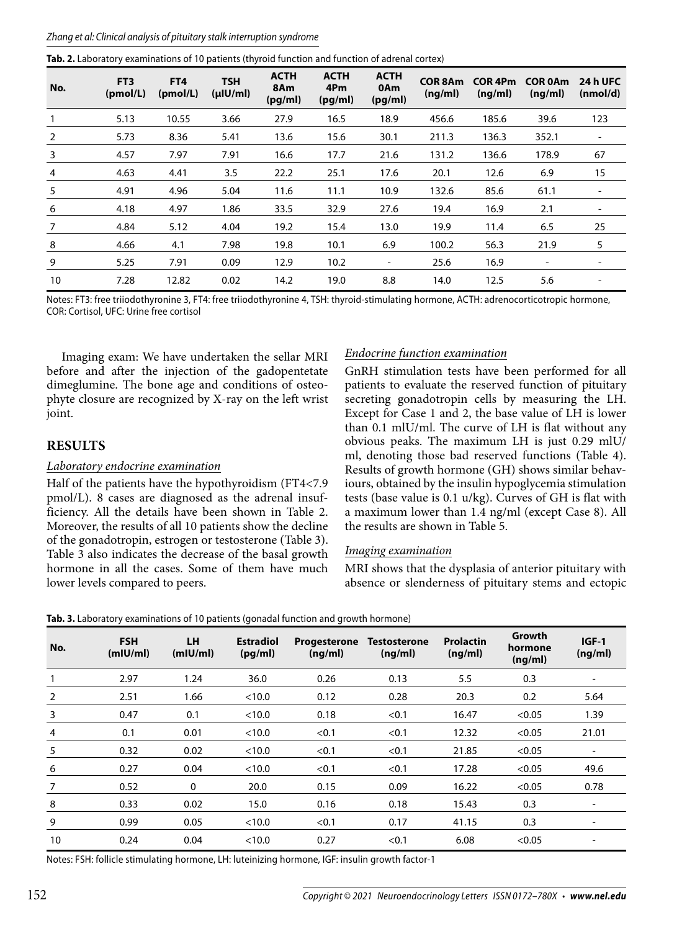| Tab. 2. Laboratory examinations of 10 patients (thyroid function and function of adrenal cortex) |  |  |
|--------------------------------------------------------------------------------------------------|--|--|
|                                                                                                  |  |  |

| No. | FT <sub>3</sub><br>(pmol/L) | FT4<br>(pmol/L) | <b>TSH</b><br>$(\mu$ IU/ml) | <b>ACTH</b><br>8Am<br>(pg/ml) | <b>ACTH</b><br>4Pm<br>(pq/ml) | <b>ACTH</b><br>0Am<br>(pg/ml) | <b>COR 8Am</b><br>(ng/ml) | COR <sub>4Pm</sub><br>(ng/ml) | <b>COR 0Am</b><br>(ng/ml) | <b>24 h UFC</b><br>(nmol/d) |
|-----|-----------------------------|-----------------|-----------------------------|-------------------------------|-------------------------------|-------------------------------|---------------------------|-------------------------------|---------------------------|-----------------------------|
|     | 5.13                        | 10.55           | 3.66                        | 27.9                          | 16.5                          | 18.9                          | 456.6                     | 185.6                         | 39.6                      | 123                         |
| 2   | 5.73                        | 8.36            | 5.41                        | 13.6                          | 15.6                          | 30.1                          | 211.3                     | 136.3                         | 352.1                     | $\overline{\phantom{a}}$    |
| 3   | 4.57                        | 7.97            | 7.91                        | 16.6                          | 17.7                          | 21.6                          | 131.2                     | 136.6                         | 178.9                     | 67                          |
| 4   | 4.63                        | 4.41            | 3.5                         | 22.2                          | 25.1                          | 17.6                          | 20.1                      | 12.6                          | 6.9                       | 15                          |
| 5   | 4.91                        | 4.96            | 5.04                        | 11.6                          | 11.1                          | 10.9                          | 132.6                     | 85.6                          | 61.1                      | $\overline{\phantom{a}}$    |
| 6   | 4.18                        | 4.97            | 1.86                        | 33.5                          | 32.9                          | 27.6                          | 19.4                      | 16.9                          | 2.1                       | $\overline{\phantom{a}}$    |
| 7   | 4.84                        | 5.12            | 4.04                        | 19.2                          | 15.4                          | 13.0                          | 19.9                      | 11.4                          | 6.5                       | 25                          |
| 8   | 4.66                        | 4.1             | 7.98                        | 19.8                          | 10.1                          | 6.9                           | 100.2                     | 56.3                          | 21.9                      | 5                           |
| 9   | 5.25                        | 7.91            | 0.09                        | 12.9                          | 10.2                          | $\overline{\phantom{a}}$      | 25.6                      | 16.9                          | $\overline{\phantom{a}}$  | $\overline{\phantom{a}}$    |
| 10  | 7.28                        | 12.82           | 0.02                        | 14.2                          | 19.0                          | 8.8                           | 14.0                      | 12.5                          | 5.6                       |                             |

Notes: FT3: free triiodothyronine 3, FT4: free triiodothyronine 4, TSH: thyroid-stimulating hormone, ACTH: adrenocorticotropic hormone, COR: Cortisol, UFC: Urine free cortisol

Imaging exam: We have undertaken the sellar MRI before and after the injection of the gadopentetate dimeglumine. The bone age and conditions of osteophyte closure are recognized by X-ray on the left wrist joint.

Half of the patients have the hypothyroidism (FT4<7.9 pmol/L). 8 cases are diagnosed as the adrenal insufficiency. All the details have been shown in Table 2. Moreover, the results of all 10 patients show the decline of the gonadotropin, estrogen or testosterone (Table 3). Table 3 also indicates the decrease of the basal growth hormone in all the cases. Some of them have much

**RESULTS**

*Laboratory endocrine examination*

lower levels compared to peers.

## *Endocrine function examination*

GnRH stimulation tests have been performed for all patients to evaluate the reserved function of pituitary secreting gonadotropin cells by measuring the LH. Except for Case 1 and 2, the base value of LH is lower than 0.1 mlU/ml. The curve of LH is flat without any obvious peaks. The maximum LH is just 0.29 mlU/ ml, denoting those bad reserved functions (Table 4). Results of growth hormone (GH) shows similar behaviours, obtained by the insulin hypoglycemia stimulation tests (base value is 0.1 u/kg). Curves of GH is flat with a maximum lower than 1.4 ng/ml (except Case 8). All the results are shown in Table 5.

#### *Imaging examination*

MRI shows that the dysplasia of anterior pituitary with absence or slenderness of pituitary stems and ectopic

| No.            | <b>FSH</b><br>(mIU/ml) | <b>LH</b><br>(mIU/ml) | <b>Estradiol</b><br>(pq/ml) | <b>Progesterone</b><br>(nq/ml) | <b>Testosterone</b><br>(nq/ml) | <b>Prolactin</b><br>(ng/ml) | Growth<br>hormone<br>(ng/ml) | $IGF-1$<br>(ng/ml)           |
|----------------|------------------------|-----------------------|-----------------------------|--------------------------------|--------------------------------|-----------------------------|------------------------------|------------------------------|
| 1              | 2.97                   | 1.24                  | 36.0                        | 0.26                           | 0.13                           | 5.5                         | 0.3                          | $\qquad \qquad \blacksquare$ |
| 2              | 2.51                   | 1.66                  | < 10.0                      | 0.12                           | 0.28                           | 20.3                        | 0.2                          | 5.64                         |
| 3              | 0.47                   | 0.1                   | < 10.0                      | 0.18                           | < 0.1                          | 16.47                       | < 0.05                       | 1.39                         |
| $\overline{4}$ | 0.1                    | 0.01                  | < 10.0                      | < 0.1                          | < 0.1                          | 12.32                       | < 0.05                       | 21.01                        |
| 5              | 0.32                   | 0.02                  | < 10.0                      | < 0.1                          | < 0.1                          | 21.85                       | < 0.05                       | $\qquad \qquad \blacksquare$ |
| 6              | 0.27                   | 0.04                  | < 10.0                      | < 0.1                          | < 0.1                          | 17.28                       | < 0.05                       | 49.6                         |
| 7              | 0.52                   | $\mathbf{0}$          | 20.0                        | 0.15                           | 0.09                           | 16.22                       | < 0.05                       | 0.78                         |
| 8              | 0.33                   | 0.02                  | 15.0                        | 0.16                           | 0.18                           | 15.43                       | 0.3                          | $\overline{\phantom{a}}$     |
| 9              | 0.99                   | 0.05                  | < 10.0                      | < 0.1                          | 0.17                           | 41.15                       | 0.3                          | $\overline{\phantom{a}}$     |
| 10             | 0.24                   | 0.04                  | < 10.0                      | 0.27                           | < 0.1                          | 6.08                        | < 0.05                       |                              |

**Tab. 3.** Laboratory examinations of 10 patients (gonadal function and growth hormone)

Notes: FSH: follicle stimulating hormone, LH: luteinizing hormone, IGF: insulin growth factor-1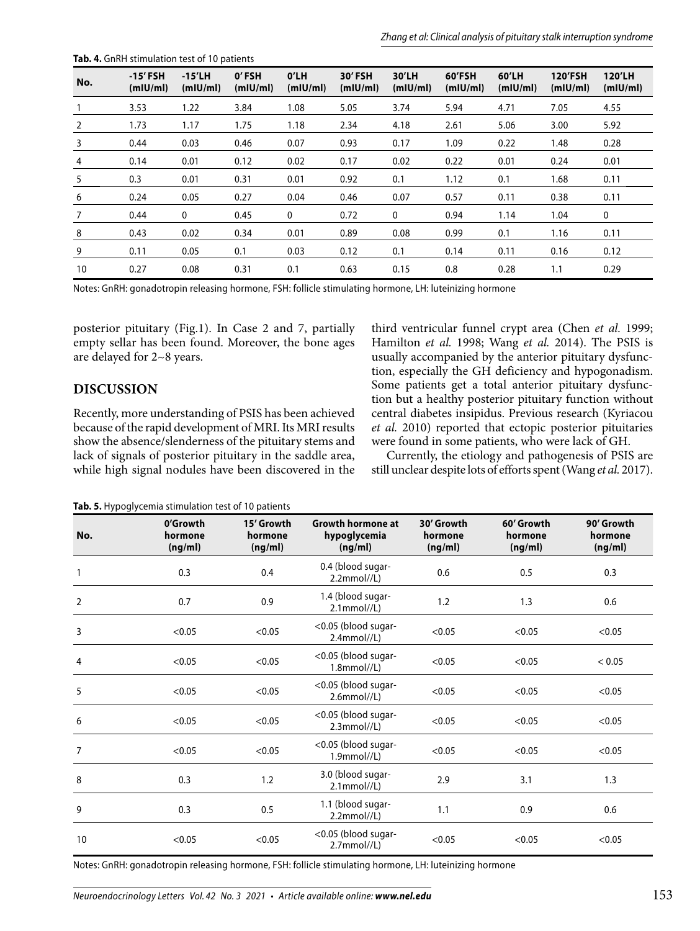| No. | $-15'$ FSH<br>(m U/m ) | $-15'$ LH<br>(m U/m ) | 0'FSH<br>(m U/m ) | O' L H<br>(mIU/ml) | 30' FSH<br>(m U/m ) | 30'LH<br>(m U/m ) | 60'FSH<br>(m U/m ) | 60'LH<br>(m U/m ) | <b>120'FSH</b><br>(m U/m ) | <b>120'LH</b><br>(m U/m) |
|-----|------------------------|-----------------------|-------------------|--------------------|---------------------|-------------------|--------------------|-------------------|----------------------------|--------------------------|
|     | 3.53                   | 1.22                  | 3.84              | 1.08               | 5.05                | 3.74              | 5.94               | 4.71              | 7.05                       | 4.55                     |
| 2   | 1.73                   | 1.17                  | 1.75              | 1.18               | 2.34                | 4.18              | 2.61               | 5.06              | 3.00                       | 5.92                     |
| 3   | 0.44                   | 0.03                  | 0.46              | 0.07               | 0.93                | 0.17              | 1.09               | 0.22              | 1.48                       | 0.28                     |
| 4   | 0.14                   | 0.01                  | 0.12              | 0.02               | 0.17                | 0.02              | 0.22               | 0.01              | 0.24                       | 0.01                     |
| 5   | 0.3                    | 0.01                  | 0.31              | 0.01               | 0.92                | 0.1               | 1.12               | 0.1               | 1.68                       | 0.11                     |
| 6   | 0.24                   | 0.05                  | 0.27              | 0.04               | 0.46                | 0.07              | 0.57               | 0.11              | 0.38                       | 0.11                     |
| 7   | 0.44                   | $\mathbf 0$           | 0.45              | $\mathbf{0}$       | 0.72                | 0                 | 0.94               | 1.14              | 1.04                       | 0                        |
| 8   | 0.43                   | 0.02                  | 0.34              | 0.01               | 0.89                | 0.08              | 0.99               | 0.1               | 1.16                       | 0.11                     |
| 9   | 0.11                   | 0.05                  | 0.1               | 0.03               | 0.12                | 0.1               | 0.14               | 0.11              | 0.16                       | 0.12                     |
| 10  | 0.27                   | 0.08                  | 0.31              | 0.1                | 0.63                | 0.15              | 0.8                | 0.28              | 1.1                        | 0.29                     |

**Tab. 4.** GnRH stimulation test of 10 patients

Notes: GnRH: gonadotropin releasing hormone, FSH: follicle stimulating hormone, LH: luteinizing hormone

posterior pituitary (Fig.1). In Case 2 and 7, partially empty sellar has been found. Moreover, the bone ages are delayed for 2~8 years.

#### **DISCUSSION**

Recently, more understanding of PSIS has been achieved because of the rapid development of MRI. Its MRI results show the absence/slenderness of the pituitary stems and lack of signals of posterior pituitary in the saddle area, while high signal nodules have been discovered in the third ventricular funnel crypt area (Chen *et al.* 1999; Hamilton *et al.* 1998; Wang *et al.* 2014). The PSIS is usually accompanied by the anterior pituitary dysfunction, especially the GH deficiency and hypogonadism. Some patients get a total anterior pituitary dysfunction but a healthy posterior pituitary function without central diabetes insipidus. Previous research (Kyriacou *et al.* 2010) reported that ectopic posterior pituitaries were found in some patients, who were lack of GH.

Currently, the etiology and pathogenesis of PSIS are still unclear despite lots of efforts spent (Wang *et al.* 2017).

**Tab. 5.** Hypoglycemia stimulation test of 10 patients

| No.            | 0'Growth<br>hormone<br>(ng/ml) | 15' Growth<br>hormone<br>(ng/ml) | <b>Growth hormone at</b><br>hypoglycemia<br>(ng/ml) | 30' Growth<br>hormone<br>(ng/ml) | 60' Growth<br>hormone<br>(ng/ml) | 90' Growth<br>hormone<br>(ng/ml) |
|----------------|--------------------------------|----------------------------------|-----------------------------------------------------|----------------------------------|----------------------------------|----------------------------------|
| $\mathbf{1}$   | 0.3                            | 0.4                              | 0.4 (blood sugar-<br>2.2mmol <sub>/</sub> L         | 0.6                              | 0.5                              | 0.3                              |
| $\overline{2}$ | 0.7                            | 0.9                              | 1.4 (blood sugar-<br>$2.1$ mmol//L)                 | 1.2                              | 1.3                              | 0.6                              |
| 3              | < 0.05                         | < 0.05                           | <0.05 (blood sugar-<br>$2.4$ mmol $//L)$            | < 0.05                           | < 0.05                           | < 0.05                           |
| 4              | < 0.05                         | < 0.05                           | <0.05 (blood sugar-<br>$1.8$ mmol//L)               | < 0.05                           | < 0.05                           | < 0.05                           |
| 5              | < 0.05                         | < 0.05                           | <0.05 (blood sugar-<br>$2.6$ mmol//L)               | < 0.05                           | < 0.05                           | < 0.05                           |
| 6              | < 0.05                         | < 0.05                           | <0.05 (blood sugar-<br>2.3mmol <sub>/</sub> L       | < 0.05                           | < 0.05                           | < 0.05                           |
| $\overline{7}$ | < 0.05                         | < 0.05                           | <0.05 (blood sugar-<br>$1.9$ mmol $//L)$            | < 0.05                           | < 0.05                           | < 0.05                           |
| 8              | 0.3                            | 1.2                              | 3.0 (blood sugar-<br>$2.1$ mmol $//L)$              | 2.9                              | 3.1                              | 1.3                              |
| 9              | 0.3                            | 0.5                              | 1.1 (blood sugar-<br>2.2mmol//L)                    | 1.1                              | 0.9                              | 0.6                              |
| 10             | < 0.05                         | < 0.05                           | <0.05 (blood sugar-<br>$2.7$ mmol//L)               | < 0.05                           | < 0.05                           | < 0.05                           |

Notes: GnRH: gonadotropin releasing hormone, FSH: follicle stimulating hormone, LH: luteinizing hormone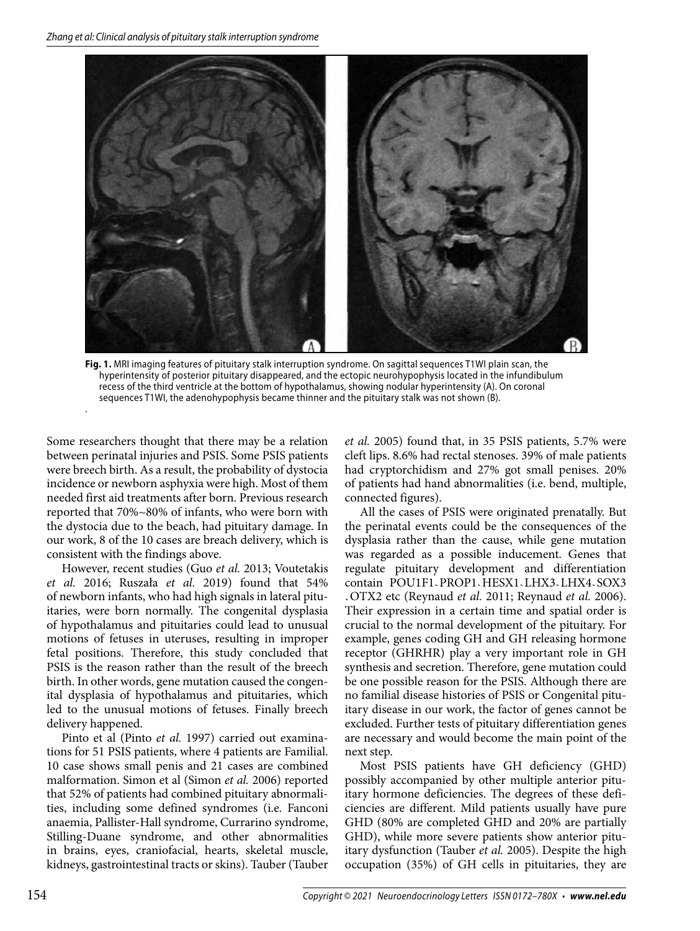

**Fig. 1.** MRI imaging features of pituitary stalk interruption syndrome. On sagittal sequences T1WI plain scan, the hyperintensity of posterior pituitary disappeared, and the ectopic neurohypophysis located in the infundibulum recess of the third ventricle at the bottom of hypothalamus, showing nodular hyperintensity (A). On coronal sequences T1WI, the adenohypophysis became thinner and the pituitary stalk was not shown (B).

Some researchers thought that there may be a relation between perinatal injuries and PSIS. Some PSIS patients were breech birth. As a result, the probability of dystocia incidence or newborn asphyxia were high. Most of them needed first aid treatments after born. Previous research reported that 70%~80% of infants, who were born with the dystocia due to the beach, had pituitary damage. In our work, 8 of the 10 cases are breach delivery, which is consistent with the findings above.

.

However, recent studies (Guo *et al.* 2013; Voutetakis *et al.* 2016; Ruszała *et al.* 2019) found that 54% of newborn infants, who had high signals in lateral pituitaries, were born normally. The congenital dysplasia of hypothalamus and pituitaries could lead to unusual motions of fetuses in uteruses, resulting in improper fetal positions. Therefore, this study concluded that PSIS is the reason rather than the result of the breech birth. In other words, gene mutation caused the congenital dysplasia of hypothalamus and pituitaries, which led to the unusual motions of fetuses. Finally breech delivery happened.

Pinto et al (Pinto *et al.* 1997) carried out examinations for 51 PSIS patients, where 4 patients are Familial. 10 case shows small penis and 21 cases are combined malformation. Simon et al (Simon *et al.* 2006) reported that 52% of patients had combined pituitary abnormalities, including some defined syndromes (i.e. Fanconi anaemia, Pallister-Hall syndrome, Currarino syndrome, Stilling-Duane syndrome, and other abnormalities in brains, eyes, craniofacial, hearts, skeletal muscle, kidneys, gastrointestinal tracts or skins). Tauber (Tauber

*et al.* 2005) found that, in 35 PSIS patients, 5.7% were cleft lips. 8.6% had rectal stenoses. 39% of male patients had cryptorchidism and 27% got small penises. 20% of patients had hand abnormalities (i.e. bend, multiple, connected figures).

All the cases of PSIS were originated prenatally. But the perinatal events could be the consequences of the dysplasia rather than the cause, while gene mutation was regarded as a possible inducement. Genes that regulate pituitary development and differentiation contain POU1F1.PROP1.HESX1.LHX3.LHX4.SOX3 ` Their expression in a certain time and spatial order is OTX2 etc (Reynaud *et al.* 2011; Reynaud *et al.* 2006). crucial to the normal development of the pituitary. For example, genes coding GH and GH releasing hormone receptor (GHRHR) play a very important role in GH synthesis and secretion. Therefore, gene mutation could be one possible reason for the PSIS. Although there are no familial disease histories of PSIS or Congenital pituitary disease in our work, the factor of genes cannot be excluded. Further tests of pituitary differentiation genes are necessary and would become the main point of the next step.

Most PSIS patients have GH deficiency (GHD) possibly accompanied by other multiple anterior pituitary hormone deficiencies. The degrees of these deficiencies are different. Mild patients usually have pure GHD (80% are completed GHD and 20% are partially GHD), while more severe patients show anterior pituitary dysfunction (Tauber *et al.* 2005). Despite the high occupation (35%) of GH cells in pituitaries, they are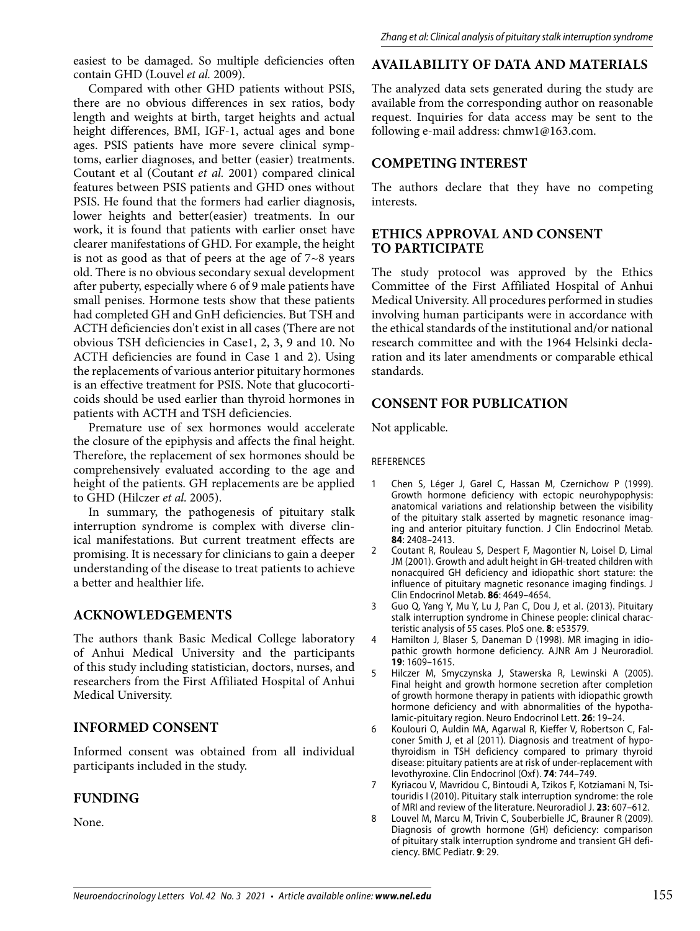easiest to be damaged. So multiple deficiencies often contain GHD (Louvel *et al.* 2009).

Compared with other GHD patients without PSIS, there are no obvious differences in sex ratios, body length and weights at birth, target heights and actual height differences, BMI, IGF-1, actual ages and bone ages. PSIS patients have more severe clinical symptoms, earlier diagnoses, and better (easier) treatments. Coutant et al (Coutant *et al.* 2001) compared clinical features between PSIS patients and GHD ones without PSIS. He found that the formers had earlier diagnosis, lower heights and better(easier) treatments. In our work, it is found that patients with earlier onset have clearer manifestations of GHD. For example, the height is not as good as that of peers at the age of 7~8 years old. There is no obvious secondary sexual development after puberty, especially where 6 of 9 male patients have small penises. Hormone tests show that these patients had completed GH and GnH deficiencies. But TSH and ACTH deficiencies don't exist in all cases (There are not obvious TSH deficiencies in Case1, 2, 3, 9 and 10. No ACTH deficiencies are found in Case 1 and 2). Using the replacements of various anterior pituitary hormones is an effective treatment for PSIS. Note that glucocorticoids should be used earlier than thyroid hormones in patients with ACTH and TSH deficiencies.

Premature use of sex hormones would accelerate the closure of the epiphysis and affects the final height. Therefore, the replacement of sex hormones should be comprehensively evaluated according to the age and height of the patients. GH replacements are be applied to GHD (Hilczer *et al.* 2005).

In summary, the pathogenesis of pituitary stalk interruption syndrome is complex with diverse clinical manifestations. But current treatment effects are promising. It is necessary for clinicians to gain a deeper understanding of the disease to treat patients to achieve a better and healthier life.

# **ACKNOWLEDGEMENTS**

The authors thank Basic Medical College laboratory of Anhui Medical University and the participants of this study including statistician, doctors, nurses, and researchers from the First Affiliated Hospital of Anhui Medical University.

### **INFORMED CONSENT**

Informed consent was obtained from all individual participants included in the study.

# **FUNDING**

None.

# **AVAILABILITY OF DATA AND MATERIALS**

The analyzed data sets generated during the study are available from the corresponding author on reasonable request. Inquiries for data access may be sent to the following e-mail address: chmw1@163.com.

## **COMPETING INTEREST**

The authors declare that they have no competing interests.

#### **ETHICS APPROVAL AND CONSENT TO PARTICIPATE**

The study protocol was approved by the Ethics Committee of the First Affiliated Hospital of Anhui Medical University. All procedures performed in studies involving human participants were in accordance with the ethical standards of the institutional and/or national research committee and with the 1964 Helsinki declaration and its later amendments or comparable ethical standards.

# **CONSENT FOR PUBLICATION**

Not applicable.

REFERENCES

- 1 Chen S, Léger J, Garel C, Hassan M, Czernichow P (1999). Growth hormone deficiency with ectopic neurohypophysis: anatomical variations and relationship between the visibility of the pituitary stalk asserted by magnetic resonance imaging and anterior pituitary function. J Clin Endocrinol Metab. **84**: 2408–2413.
- 2 Coutant R, Rouleau S, Despert F, Magontier N, Loisel D, Limal JM (2001). Growth and adult height in GH-treated children with nonacquired GH deficiency and idiopathic short stature: the influence of pituitary magnetic resonance imaging findings. J Clin Endocrinol Metab. **86**: 4649–4654.
- 3 Guo Q, Yang Y, Mu Y, Lu J, Pan C, Dou J, et al. (2013). Pituitary stalk interruption syndrome in Chinese people: clinical characteristic analysis of 55 cases. PloS one. **8**: e53579.
- Hamilton J, Blaser S, Daneman D (1998). MR imaging in idiopathic growth hormone deficiency. AJNR Am J Neuroradiol. **19**: 1609–1615.
- 5 Hilczer M, Smyczynska J, Stawerska R, Lewinski A (2005). Final height and growth hormone secretion after completion of growth hormone therapy in patients with idiopathic growth hormone deficiency and with abnormalities of the hypothalamic-pituitary region. Neuro Endocrinol Lett. **26**: 19–24.
- 6 Koulouri O, Auldin MA, Agarwal R, Kieffer V, Robertson C, Falconer Smith J, et al (2011). Diagnosis and treatment of hypothyroidism in TSH deficiency compared to primary thyroid disease: pituitary patients are at risk of under-replacement with levothyroxine. Clin Endocrinol (Oxf ). **74**: 744–749.
- 7 Kyriacou V, Mavridou C, Bintoudi A, Tzikos F, Kotziamani N, Tsitouridis I (2010). Pituitary stalk interruption syndrome: the role of MRI and review of the literature. Neuroradiol J. **23**: 607–612.
- 8 Louvel M, Marcu M, Trivin C, Souberbielle JC, Brauner R (2009). Diagnosis of growth hormone (GH) deficiency: comparison of pituitary stalk interruption syndrome and transient GH deficiency. BMC Pediatr. **9**: 29.